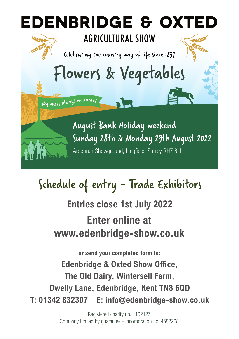

## Schedule of entry - Trade Exhibitors

**Entries close 1st July 2022 Enter online at www.edenbridge-show.co.uk**

**or send your completed form to: Edenbridge & Oxted Show Office, The Old Dairy, Wintersell Farm, Dwelly Lane, Edenbridge, Kent TN8 6QD T: 01342 832307 E: info@edenbridge-show.co.uk**

> Registered charity no. 1102127 Company limited by guarantee - incorporation no. 4682208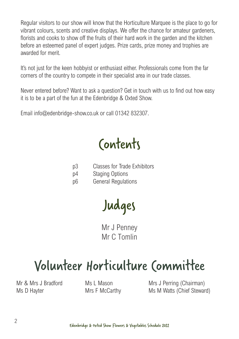Regular visitors to our show will know that the Horticulture Marquee is the place to go for vibrant colours, scents and creative displays. We offer the chance for amateur gardeners, florists and cooks to show off the fruits of their hard work in the garden and the kitchen before an esteemed panel of expert judges. Prize cards, prize money and trophies are awarded for merit.

It's not just for the keen hobbyist or enthusiast either. Professionals come from the far corners of the country to compete in their specialist area in our trade classes.

Never entered before? Want to ask a question? Get in touch with us to find out how easy it is to be a part of the fun at the Edenbridge & Oxted Show.

Email info@edenbridge-show.co.uk or call 01342 832307.

Contents

- p3 Classes for Trade Exhibitors
- p4 Staging Options
- p6 General Regulations

Judges

Mr J Penney Mr C Tomlin

## Volunteer Horticulture Committee

Mr & Mrs J Bradford Ms D Hayter

Ms L Mason Mrs F McCarthy Mrs J Perring (Chairman) Ms M Watts (Chief Steward)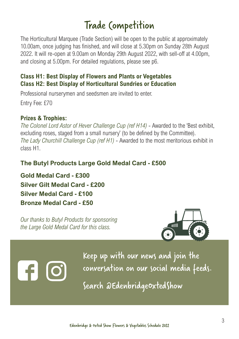### Trade Competition

The Horticultural Marquee (Trade Section) will be open to the public at approximately 10.00am, once judging has finished, and will close at 5.30pm on Sunday 28th August 2022. It will re-open at 9.00am on Monday 29th August 2022, with sell-off at 4.00pm, and closing at 5.00pm. For detailed regulations, please see p6.

#### **Class H1: Best Display of Flowers and Plants or Vegetables Class H2: Best Display of Horticultural Sundries or Education**

Professional nurserymen and seedsmen are invited to enter. Entry Fee: £70

#### **Prizes & Trophies:**

*The Colonel Lord Astor of Hever Challenge Cup (ref H14)* - Awarded to the 'Best exhibit, excluding roses, staged from a small nursery' (to be defined by the Committee). *The Lady Churchill Challenge Cup (ref H1)* - Awarded to the most meritorious exhibit in class H1.

#### **The Butyl Products Large Gold Medal Card - £500**

**Gold Medal Card - £300 Silver Gilt Medal Card - £200 Silver Medal Card - £100 Bronze Medal Card - £50**

*Our thanks to Butyl Products for sponsoring the Large Gold Medal Card for this class.*



Keep up with our news and join the conversation on our social media feeds.

Search @EdenbridgeOxtedShow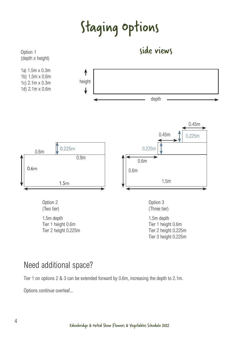## Staging Options



### Need additional space?

Tier 1 on options 2 & 3 can be extended forward by 0.6m, increasing the depth to 2.1m.

Options continue overleaf...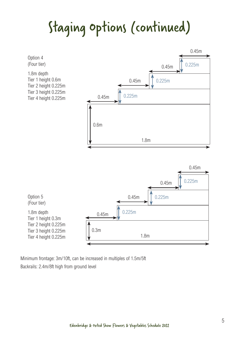## Staging Options (continued)



Minimum frontage: 3m/10ft, can be increased in multiples of 1.5m/5ft Backrails: 2.4m/8ft high from ground level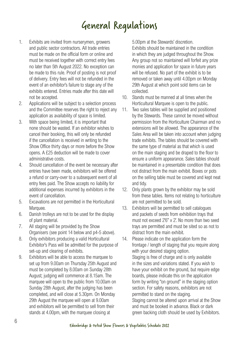### General Regulations

- 1. Exhibits are invited from nurserymen, growers and public sector contractors. All trade entries must be made on the official form or online and must be received together with correct entry fees no later than 5th August 2022. No exception can be made to this rule. Proof of posting is not proof of delivery. Entry fees will not be refunded in the event of an exhibitor's failure to stage any of the exhibits entered. Entries made after this date will not be accepted.
- 2. Applications will be subject to a selection process and the Committee reserves the right to reject any application as availability of space is limited.
- 3. With space being limited, it is important that none should be wasted. If an exhibitor wishes to cancel their booking, this will only be refunded if the cancellation is received in writing to the Show Office thirty days or more before the Show opens. A £25 deduction will be made to cover administrative costs.
- 4. Should cancellation of the event be necessary after entries have been made, exhibitors will be offered a refund or carry-over to a subsequent event of all entry fees paid. The Show accepts no liability for additional expenses incurred by exhibitors in the event of cancellation.
- 5. Excavations are not permitted in the Horticultural Marquee.
- 6. Danish trolleys are not to be used for the display of plant material.
- 7. All staging will be provided by the Show Organisers (see point 14 below and p4-5 above).
- 8. Only exhibitors producing a valid Horticultural Exhibitor's Pass will be admitted for the purpose of set-up and clearing of exhibits.
- 9. Exhibitors will be able to access the marquee to set up from 9.00am on Thursday 25th August and must be completed by 8.00am on Sunday 28th August; judging will commence at 8.15am. The marquee will open to the public from 10.00am on Sunday 28th August, after the judging has been completed, and will close at 5.30pm. On Monday 29th August the marquee will open at 9.00am and exhibitors will be permitted to sell from their stands at 4.00pm, with the marquee closing at

5.00pm at the Stewards' discretion.

Exhibits should be maintained in the condition in which they are judged throughout the Show. Any group not so maintained will forfeit any prize monies and application for space in future years will be refused. No part of the exhibit is to be removed or taken away until 4.00pm on Monday 29th August at which point sold items can be collected.

- 10. Stands must be manned at all times when the Horticultural Marquee is open to the public.
- 11. Two sales tables will be supplied and positioned by the Stewards. These cannot be moved without permission from the Horticulture Chairman and no extensions will be allowed. The appearance of the Sales Area will be taken into account when judging trade exhibits. The tables should be covered with the same type of material as that which is used on the main staging and be draped to the floor to ensure a uniform appearance. Sales tables should be maintained in a presentable condition that does not distract from the main exhibit. Boxes or pots on the selling table must be covered and kept neat and tidy.
- 12. Only plants grown by the exhibitor may be sold from these tables. Items not relating to horticulture are not permitted to be sold.
- 13. Exhibitors will be permitted to sell catalogues and packets of seeds from exhibition trays that must not exceed 2'6" x 2'. No more than two seed trays are permitted and must be sited so as not to distract from the main exhibit.
- 14. Please indicate on the application form the frontage / length of staging that you require along with your desired staging option. Staging is free of charge and is only available in the sizes and variations stated. If you wish to have your exhibit on the ground, but require edge boards, please indicate this on the application form by writing "on ground" in the staging option section. For safety reasons, exhibitors are not permitted to stand on the staging. Staging cannot be altered upon arrival at the Show and must be booked in advance. Black or dark green backing cloth should be used by Exhibitors.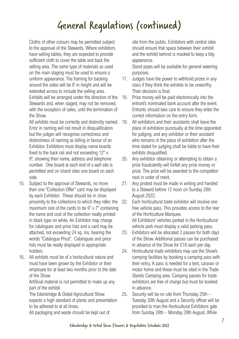### General Regulations (continued)

Cloths of other colours may be permitted subject to the approval of the Stewards. Where exhibitors have selling tables, they are expected to provide sufficient cloth to cover the table and back the selling area. The same type of materials as used on the main staging must be used to ensure a uniform appearance. The framing for backing around the sides will be 8' in height and will be extended across to include the selling area. Exhibits will be arranged under the direction of the Stewards and, when staged, may not be removed, with the exception of sales, until the termination of the Show.

All exhibits must be correctly and distinctly named. Error in naming will not result in disqualification but the judges will recognise correctness and distinctness of naming as telling in favour of an Exhibitor. Exhibitors must display name boards fixed to the back rail and not exceeding 12" x 9", showing their name, address and telephone number. One board at each end of a wall site is permitted and on island sites one board on each side.

- 15. Subject to the approval of Stewards, no more than one "Collection Offer" card may be displayed by each Exhibitor. These should be in close proximity to the collections to which they refer; the maximum size of the cards to be  $9" \times 7"$  containing the name and cost of the collection neatly printed in black type on white. An Exhibitor may charge for catalogues and price lists and a card may be attached, not exceeding 24 sq. ins. bearing the words "Catalogue Price". Catalogues and price lists must be neatly displayed in appropriate holders.
- 16. All exhibits must be of a horticultural nature and must have been grown by the Exhibitor or their employee for at least two months prior to the date of the Show.

Artificial material is not permitted to make up any part of the exhibit.

The Edenbridge & Oxted Agricultural Show expects a high standard of plants and presentation to be adhered to at all times.

All packaging and waste should be kept out of

site from the public. Exhibitors with central sites should ensure that space between their exhibit and the exhibit behind is masked to keep a tidy appearance.

Stand pipes will be available for general watering purposes.

- 17. Judges have the power to withhold prizes in any class if they think the exhibits to be unworthy. Their decision is final.
- 18. Prize money will be paid electronically into the entrant's nominated bank account after the event. Entrants should take care to ensure they enter the correct information on the entry form.
- 19. All exhibitors and their assistants shall leave the place of exhibition punctually at the time appointed for judging, and any exhibitor or their assistant who remains in the place of exhibition after the time stated for judging shall be liable to have their exhibits disqualified.
- 20. Any exhibitor obtaining or attempting to obtain a prize fraudulently will forfeit any prize money or prize. The prize will be awarded to the competitor next in order of merit.
- 21. Any protest must be made in writing and handed to a Steward before 12 noon on Sunday 28th August 2022.
- 22. Each horticultural trade exhibitor will receive one free vehicle pass. This provides access to the rear of the Horticulture Marquee. All Exhibitors' vehicles parked in the Horticultural vehicle park must display a valid parking pass.
- 23. Exhibitors will be allocated 2 passes for both days of the Show. Additional passes can be purchased in advance of the Show for £18 each per day.
- 24. Horticultural trade exhibitors may use the Show's camping facilities by booking a camping pass with their entry. A pass is needed for a tent, caravan or motor home and these must be sited in the Trade Stands Camping area. Camping passes for trade exhibitors are free of charge but must be booked in advance.
- 25. Security will be on site from Thursday 25th Tuesday 30th August and a Security officer will be provided to man the Horticultural Exhibitors gate from Sunday 28th – Monday 29th August. While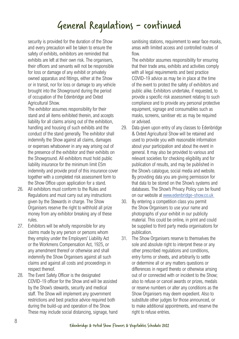### General Regulations - continued

security is provided for the duration of the Show and every precaution will be taken to ensure the safety of exhibits, exhibitors are reminded that exhibits are left at their own risk. The organisers, their officers and servants will not be responsible for loss or damage of any exhibit or privately owned apparatus and fittings, either at the Show or in transit, nor for loss or damage to any vehicle brought into the Showground during the period of occupation of the Edenbridge and Oxted Agricultural Show.

The exhibitor assumes responsibility for their stand and all items exhibited therein, and accepts liability for all claims arising out of the exhibition, handling and housing of such exhibits and the conduct of the stand generally. The exhibitor shall indemnify the Show against all claims, damages or expenses whatsoever in any way arising out of the presence of the exhibitor and their exhibits on the Showground. All exhibitors must hold public liability insurance for the minimum limit £5m indemnity and provide proof of this insurance cover together with a completed risk assessment form to the Show Office upon application for a stand.

- 26. All exhibitors must conform to the Rules and Regulations and must carry out any instructions given by the Stewards in charge. The Show Organisers reserve the right to withhold all prize money from any exhibitor breaking any of these rules.
- 27. Exhibitors will be wholly responsible for any claims made by any person or persons whom they employ under the Employers' Liability Act or the Workmens Compensation Act, 1925, or any amendment thereof or otherwise and shall indemnify the Show Organisers against all such claims and against all costs and proceedings in respect thereof.
- 28. The Event Safety Officer is the designated COVID-19 officer for the Show and will be assisted by the Show's stewards, security and medical staff. The Show will implement any government restrictions and best practice advice required both during the build-up and operation of the Show. These may include social distancing, signage, hand

sanitising stations, requirement to wear face masks, areas with limited access and controlled routes of flow.

The exhibitor assumes responsibility for ensuring that their trade area, exhibits and activities comply with all legal requirements and best practice COVID-19 advice as may be in place at the time of the event to protect the safety of exhibitors and public alike. Exhibitors undertake, if requested, to provide a specific risk assessment relating to such compliance and to provide any personal protective equipment, signage and consumables such as masks, screens, sanitiser etc as may be required or advised.

- 29. Data given upon entry of any classes to Edenbridge & Oxted Agricultural Show will be retained and used to provide you with reasonable information about your participation and about the event in general. It may also be provided to various and relevant societies for checking eligibility and for publication of results, and may be published in the Show's catalogue, social media and website. By providing data you are giving permission for that data to be stored on the Show's systems and databases. The Show's Privacy Policy can be found on our website at www.edenbridge-show.co.uk
- 30. By entering a competition class you permit the Show Organisers to use your name and photographs of your exhibit in our publicity material. This could be online, in print and could be supplied to third party media organisations for publication.
- 31. The Show Organisers reserve to themselves the sole and absolute right to interpret these or any other prescribed regulations and conditions, entry forms or sheets, and arbitrarily to settle or determine all or any matters questions or differences in regard thereto or otherwise arising out of or connected with or incident to the Show; also to refuse or cancel awards or prizes, medals or reserve numbers or alter any conditions as the Show Organisers may deem expedient. Also to substitute other judges for those announced, or to make additional appointments, and reserve the right to refuse entries.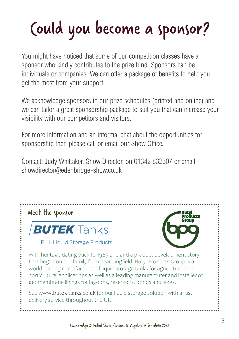# Could you become a sponsor?

You might have noticed that some of our competition classes have a sponsor who kindly contributes to the prize fund. Sponsors can be individuals or companies. We can offer a package of benefits to help you get the most from your support.

We acknowledge sponsors in our prize schedules (printed and online) and we can tailor a great sponsorship package to suit you that can increase your visibility with our competitors and visitors.

For more information and an informal chat about the opportunities for sponsorship then please call or email our Show Office.

Contact: Judy Whittaker, Show Director, on 01342 832307 or email showdirector@edenbridge-show.co.uk



**Bulk Liquid Storage Products** 



With heritage dating back to 1965 and and a product development story that began on our family farm near Lingfield, Butyl Products Group is a world leading manufacturer of liquid storage tanks for agricultural and horticultural applications as well as a leading manufacturer and installer of geomembrane linings for lagoons, reservoirs, ponds and lakes.

See www.butek-tanks.co.uk for our liquid storage solution with a fast delivery service throughout the UK.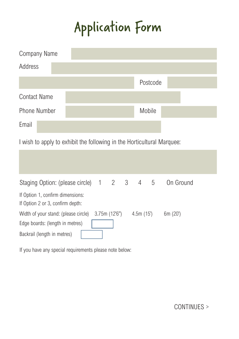## Application Form

| <b>Company Name</b> |          |
|---------------------|----------|
| Address             |          |
|                     | Postcode |
| <b>Contact Name</b> |          |
| <b>Phone Number</b> | Mobile   |
| Email               |          |

I wish to apply to exhibit the following in the Horticultural Marquee:

| Staging Option: (please circle) 1 2 3 4 5                            |              |          | On Ground |
|----------------------------------------------------------------------|--------------|----------|-----------|
| If Option 1, confirm dimensions:<br>If Option 2 or 3, confirm depth: |              |          |           |
| Width of your stand: (please circle)                                 | 3.75m(12'6") | 4.5m(15) | 6m (20)   |
| Edge boards: (length in metres)                                      |              |          |           |
| Backrail (length in metres)                                          |              |          |           |

If you have any special requirements please note below:

CONTINUES >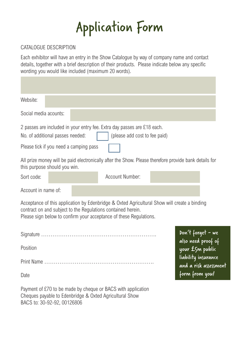

#### CATALOGUE DESCRIPTION

Each exhibitor will have an entry in the Show Catalogue by way of company name and contact details, together with a brief description of their products. Please indicate below any specific wording you would like included (maximum 20 words).

| Website:                                                                                                                                                                                                                           |  |                 |                               |                                         |                       |
|------------------------------------------------------------------------------------------------------------------------------------------------------------------------------------------------------------------------------------|--|-----------------|-------------------------------|-----------------------------------------|-----------------------|
| Social media acounts:                                                                                                                                                                                                              |  |                 |                               |                                         |                       |
| 2 passes are included in your entry fee. Extra day passes are £18 each.<br>No. of additional passes needed:                                                                                                                        |  |                 | (please add cost to fee paid) |                                         |                       |
| Please tick if you need a camping pass                                                                                                                                                                                             |  |                 |                               |                                         |                       |
| All prize money will be paid electronically after the Show. Please therefore provide bank details for<br>this purpose should you win.                                                                                              |  |                 |                               |                                         |                       |
| Sort code:                                                                                                                                                                                                                         |  | Account Number: |                               |                                         |                       |
| Account in name of:                                                                                                                                                                                                                |  |                 |                               |                                         |                       |
| Acceptance of this application by Edenbridge & Oxted Agricultural Show will create a binding<br>contract on and subject to the Regulations contained herein.<br>Please sign below to confirm your acceptance of these Regulations. |  |                 |                               |                                         |                       |
|                                                                                                                                                                                                                                    |  |                 |                               | Don't forget - we<br>also need proof of |                       |
| Position                                                                                                                                                                                                                           |  |                 |                               | your £5m public                         |                       |
|                                                                                                                                                                                                                                    |  |                 |                               | liability insurance                     | and a risk assessment |
| Date                                                                                                                                                                                                                               |  |                 |                               | form from you!                          |                       |
| Payment of £70 to be made by cheque or BACS with application<br>Cheques payable to Edenbridge & Oxted Agricultural Show                                                                                                            |  |                 |                               |                                         |                       |

BACS to: 30-92-92, 00126806